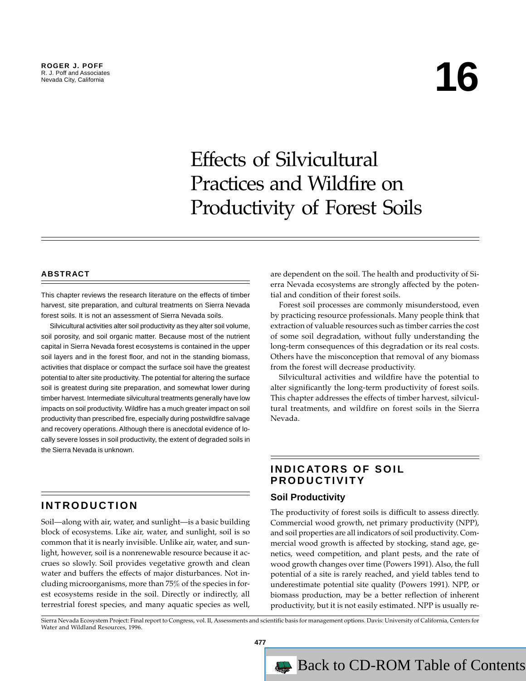# Effects of Silvicultural Practices and Wildfire on Productivity of Forest Soils

#### **ABSTRACT**

This chapter reviews the research literature on the effects of timber harvest, site preparation, and cultural treatments on Sierra Nevada forest soils. It is not an assessment of Sierra Nevada soils.

Silvicultural activities alter soil productivity as they alter soil volume, soil porosity, and soil organic matter. Because most of the nutrient capital in Sierra Nevada forest ecosystems is contained in the upper soil layers and in the forest floor, and not in the standing biomass, activities that displace or compact the surface soil have the greatest potential to alter site productivity. The potential for altering the surface soil is greatest during site preparation, and somewhat lower during timber harvest. Intermediate silvicultural treatments generally have low impacts on soil productivity. Wildfire has a much greater impact on soil productivity than prescribed fire, especially during postwildfire salvage and recovery operations. Although there is anecdotal evidence of locally severe losses in soil productivity, the extent of degraded soils in the Sierra Nevada is unknown.

## **INTRODUCTION**

Soil—along with air, water, and sunlight—is a basic building block of ecosystems. Like air, water, and sunlight, soil is so common that it is nearly invisible. Unlike air, water, and sunlight, however, soil is a nonrenewable resource because it accrues so slowly. Soil provides vegetative growth and clean water and buffers the effects of major disturbances. Not including microorganisms, more than 75% of the species in forest ecosystems reside in the soil. Directly or indirectly, all terrestrial forest species, and many aquatic species as well, are dependent on the soil. The health and productivity of Sierra Nevada ecosystems are strongly affected by the potential and condition of their forest soils.

Forest soil processes are commonly misunderstood, even by practicing resource professionals. Many people think that extraction of valuable resources such as timber carries the cost of some soil degradation, without fully understanding the long-term consequences of this degradation or its real costs. Others have the misconception that removal of any biomass from the forest will decrease productivity.

Silvicultural activities and wildfire have the potential to alter significantly the long-term productivity of forest soils. This chapter addresses the effects of timber harvest, silvicultural treatments, and wildfire on forest soils in the Sierra Nevada.

## **INDICATORS OF SOIL PRODUCTIVITY**

#### **Soil Productivity**

The productivity of forest soils is difficult to assess directly. Commercial wood growth, net primary productivity (NPP), and soil properties are all indicators of soil productivity. Commercial wood growth is affected by stocking, stand age, genetics, weed competition, and plant pests, and the rate of wood growth changes over time (Powers 1991). Also, the full potential of a site is rarely reached, and yield tables tend to underestimate potential site quality (Powers 1991). NPP, or biomass production, may be a better reflection of inherent productivity, but it is not easily estimated. NPP is usually re-

Sierra Nevada Ecosystem Project: Final report to Congress, vol. II, Assessments and scientific basis for management options. Davis: University of California, Centers for Water and Wildland Resources, 1996.

**477**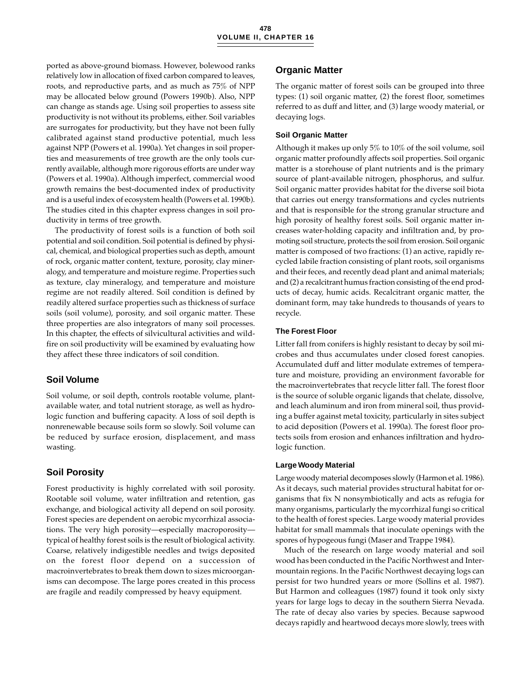ported as above-ground biomass. However, bolewood ranks relatively low in allocation of fixed carbon compared to leaves, roots, and reproductive parts, and as much as 75% of NPP may be allocated below ground (Powers 1990b). Also, NPP can change as stands age. Using soil properties to assess site productivity is not without its problems, either. Soil variables are surrogates for productivity, but they have not been fully calibrated against stand productive potential, much less against NPP (Powers et al. 1990a). Yet changes in soil properties and measurements of tree growth are the only tools currently available, although more rigorous efforts are under way (Powers et al. 1990a). Although imperfect, commercial wood growth remains the best-documented index of productivity and is a useful index of ecosystem health (Powers et al. 1990b). The studies cited in this chapter express changes in soil productivity in terms of tree growth.

The productivity of forest soils is a function of both soil potential and soil condition. Soil potential is defined by physical, chemical, and biological properties such as depth, amount of rock, organic matter content, texture, porosity, clay mineralogy, and temperature and moisture regime. Properties such as texture, clay mineralogy, and temperature and moisture regime are not readily altered. Soil condition is defined by readily altered surface properties such as thickness of surface soils (soil volume), porosity, and soil organic matter. These three properties are also integrators of many soil processes. In this chapter, the effects of silvicultural activities and wildfire on soil productivity will be examined by evaluating how they affect these three indicators of soil condition.

#### **Soil Volume**

Soil volume, or soil depth, controls rootable volume, plantavailable water, and total nutrient storage, as well as hydrologic function and buffering capacity. A loss of soil depth is nonrenewable because soils form so slowly. Soil volume can be reduced by surface erosion, displacement, and mass wasting.

#### **Soil Porosity**

Forest productivity is highly correlated with soil porosity. Rootable soil volume, water infiltration and retention, gas exchange, and biological activity all depend on soil porosity. Forest species are dependent on aerobic mycorrhizal associations. The very high porosity—especially macroporosity typical of healthy forest soils is the result of biological activity. Coarse, relatively indigestible needles and twigs deposited on the forest floor depend on a succession of macroinvertebrates to break them down to sizes microorganisms can decompose. The large pores created in this process are fragile and readily compressed by heavy equipment.

#### **Organic Matter**

The organic matter of forest soils can be grouped into three types: (1) soil organic matter, (2) the forest floor, sometimes referred to as duff and litter, and (3) large woody material, or decaying logs.

#### **Soil Organic Matter**

Although it makes up only 5% to 10% of the soil volume, soil organic matter profoundly affects soil properties. Soil organic matter is a storehouse of plant nutrients and is the primary source of plant-available nitrogen, phosphorus, and sulfur. Soil organic matter provides habitat for the diverse soil biota that carries out energy transformations and cycles nutrients and that is responsible for the strong granular structure and high porosity of healthy forest soils. Soil organic matter increases water-holding capacity and infiltration and, by promoting soil structure, protects the soil from erosion. Soil organic matter is composed of two fractions: (1) an active, rapidly recycled labile fraction consisting of plant roots, soil organisms and their feces, and recently dead plant and animal materials; and (2) a recalcitrant humus fraction consisting of the end products of decay, humic acids. Recalcitrant organic matter, the dominant form, may take hundreds to thousands of years to recycle.

#### **The Forest Floor**

Litter fall from conifers is highly resistant to decay by soil microbes and thus accumulates under closed forest canopies. Accumulated duff and litter modulate extremes of temperature and moisture, providing an environment favorable for the macroinvertebrates that recycle litter fall. The forest floor is the source of soluble organic ligands that chelate, dissolve, and leach aluminum and iron from mineral soil, thus providing a buffer against metal toxicity, particularly in sites subject to acid deposition (Powers et al. 1990a). The forest floor protects soils from erosion and enhances infiltration and hydrologic function.

#### **Large Woody Material**

Large woody material decomposes slowly (Harmon et al. 1986). As it decays, such material provides structural habitat for organisms that fix N nonsymbiotically and acts as refugia for many organisms, particularly the mycorrhizal fungi so critical to the health of forest species. Large woody material provides habitat for small mammals that inoculate openings with the spores of hypogeous fungi (Maser and Trappe 1984).

Much of the research on large woody material and soil wood has been conducted in the Pacific Northwest and Intermountain regions. In the Pacific Northwest decaying logs can persist for two hundred years or more (Sollins et al. 1987). But Harmon and colleagues (1987) found it took only sixty years for large logs to decay in the southern Sierra Nevada. The rate of decay also varies by species. Because sapwood decays rapidly and heartwood decays more slowly, trees with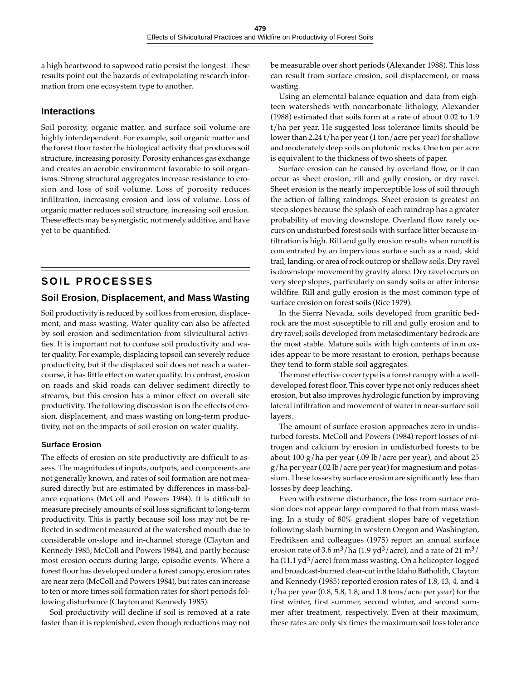a high heartwood to sapwood ratio persist the longest. These results point out the hazards of extrapolating research information from one ecosystem type to another.

#### **Interactions**

Soil porosity, organic matter, and surface soil volume are highly interdependent. For example, soil organic matter and the forest floor foster the biological activity that produces soil structure, increasing porosity. Porosity enhances gas exchange and creates an aerobic environment favorable to soil organisms. Strong structural aggregates increase resistance to erosion and loss of soil volume. Loss of porosity reduces infiltration, increasing erosion and loss of volume. Loss of organic matter reduces soil structure, increasing soil erosion. These effects may be synergistic, not merely additive, and have yet to be quantified.

## **SOIL PROCESSES**

#### **Soil Erosion, Displacement, and Mass Wasting**

Soil productivity is reduced by soil loss from erosion, displacement, and mass wasting. Water quality can also be affected by soil erosion and sedimentation from silvicultural activities. It is important not to confuse soil productivity and water quality. For example, displacing topsoil can severely reduce productivity, but if the displaced soil does not reach a watercourse, it has little effect on water quality. In contrast, erosion on roads and skid roads can deliver sediment directly to streams, but this erosion has a minor effect on overall site productivity. The following discussion is on the effects of erosion, displacement, and mass wasting on long-term productivity, not on the impacts of soil erosion on water quality.

#### **Surface Erosion**

The effects of erosion on site productivity are difficult to assess. The magnitudes of inputs, outputs, and components are not generally known, and rates of soil formation are not measured directly but are estimated by differences in mass-balance equations (McColl and Powers 1984). It is difficult to measure precisely amounts of soil loss significant to long-term productivity. This is partly because soil loss may not be reflected in sediment measured at the watershed mouth due to considerable on-slope and in-channel storage (Clayton and Kennedy 1985; McColl and Powers 1984), and partly because most erosion occurs during large, episodic events. Where a forest floor has developed under a forest canopy, erosion rates are near zero (McColl and Powers 1984), but rates can increase to ten or more times soil formation rates for short periods following disturbance (Clayton and Kennedy 1985).

Soil productivity will decline if soil is removed at a rate faster than it is replenished, even though reductions may not be measurable over short periods (Alexander 1988). This loss can result from surface erosion, soil displacement, or mass wasting.

Using an elemental balance equation and data from eighteen watersheds with noncarbonate lithology, Alexander (1988) estimated that soils form at a rate of about 0.02 to 1.9 t/ha per year. He suggested loss tolerance limits should be lower than 2.24 t/ha per year (1 ton/acre per year) for shallow and moderately deep soils on plutonic rocks. One ton per acre is equivalent to the thickness of two sheets of paper.

Surface erosion can be caused by overland flow, or it can occur as sheet erosion, rill and gully erosion, or dry ravel. Sheet erosion is the nearly imperceptible loss of soil through the action of falling raindrops. Sheet erosion is greatest on steep slopes because the splash of each raindrop has a greater probability of moving downslope. Overland flow rarely occurs on undisturbed forest soils with surface litter because infiltration is high. Rill and gully erosion results when runoff is concentrated by an impervious surface such as a road, skid trail, landing, or area of rock outcrop or shallow soils. Dry ravel is downslope movement by gravity alone. Dry ravel occurs on very steep slopes, particularly on sandy soils or after intense wildfire. Rill and gully erosion is the most common type of surface erosion on forest soils (Rice 1979).

In the Sierra Nevada, soils developed from granitic bedrock are the most susceptible to rill and gully erosion and to dry ravel; soils developed from metasedimentary bedrock are the most stable. Mature soils with high contents of iron oxides appear to be more resistant to erosion, perhaps because they tend to form stable soil aggregates.

The most effective cover type is a forest canopy with a welldeveloped forest floor. This cover type not only reduces sheet erosion, but also improves hydrologic function by improving lateral infiltration and movement of water in near-surface soil layers.

The amount of surface erosion approaches zero in undisturbed forests. McColl and Powers (1984) report losses of nitrogen and calcium by erosion in undisturbed forests to be about 100 g/ha per year (.09 lb/acre per year), and about 25 g/ha per year (.02 lb/acre per year) for magnesium and potassium. These losses by surface erosion are significantly less than losses by deep leaching.

Even with extreme disturbance, the loss from surface erosion does not appear large compared to that from mass wasting. In a study of 80% gradient slopes bare of vegetation following slash burning in western Oregon and Washington, Fredriksen and colleagues (1975) report an annual surface erosion rate of 3.6 m<sup>3</sup>/ha (1.9 yd<sup>3</sup>/acre), and a rate of 21 m<sup>3</sup>/ ha (11.1 yd<sup>3</sup>/acre) from mass wasting. On a helicopter-logged and broadcast-burned clear-cut in the Idaho Batholith, Clayton and Kennedy (1985) reported erosion rates of 1.8, 13, 4, and 4 t/ha per year (0.8, 5.8, 1.8, and 1.8 tons/acre per year) for the first winter, first summer, second winter, and second summer after treatment, respectively. Even at their maximum, these rates are only six times the maximum soil loss tolerance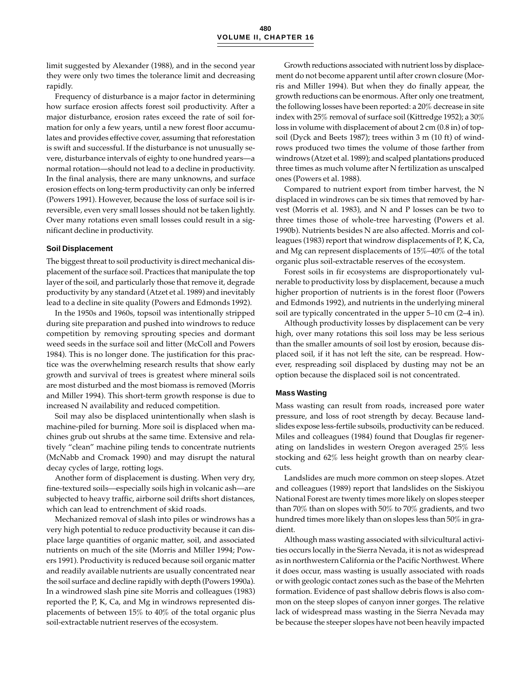limit suggested by Alexander (1988), and in the second year they were only two times the tolerance limit and decreasing rapidly.

Frequency of disturbance is a major factor in determining how surface erosion affects forest soil productivity. After a major disturbance, erosion rates exceed the rate of soil formation for only a few years, until a new forest floor accumulates and provides effective cover, assuming that reforestation is swift and successful. If the disturbance is not unusually severe, disturbance intervals of eighty to one hundred years—a normal rotation—should not lead to a decline in productivity. In the final analysis, there are many unknowns, and surface erosion effects on long-term productivity can only be inferred (Powers 1991). However, because the loss of surface soil is irreversible, even very small losses should not be taken lightly. Over many rotations even small losses could result in a significant decline in productivity.

#### **Soil Displacement**

The biggest threat to soil productivity is direct mechanical displacement of the surface soil. Practices that manipulate the top layer of the soil, and particularly those that remove it, degrade productivity by any standard (Atzet et al. 1989) and inevitably lead to a decline in site quality (Powers and Edmonds 1992).

In the 1950s and 1960s, topsoil was intentionally stripped during site preparation and pushed into windrows to reduce competition by removing sprouting species and dormant weed seeds in the surface soil and litter (McColl and Powers 1984). This is no longer done. The justification for this practice was the overwhelming research results that show early growth and survival of trees is greatest where mineral soils are most disturbed and the most biomass is removed (Morris and Miller 1994). This short-term growth response is due to increased N availability and reduced competition.

Soil may also be displaced unintentionally when slash is machine-piled for burning. More soil is displaced when machines grub out shrubs at the same time. Extensive and relatively "clean" machine piling tends to concentrate nutrients (McNabb and Cromack 1990) and may disrupt the natural decay cycles of large, rotting logs.

Another form of displacement is dusting. When very dry, fine-textured soils—especially soils high in volcanic ash—are subjected to heavy traffic, airborne soil drifts short distances, which can lead to entrenchment of skid roads.

Mechanized removal of slash into piles or windrows has a very high potential to reduce productivity because it can displace large quantities of organic matter, soil, and associated nutrients on much of the site (Morris and Miller 1994; Powers 1991). Productivity is reduced because soil organic matter and readily available nutrients are usually concentrated near the soil surface and decline rapidly with depth (Powers 1990a). In a windrowed slash pine site Morris and colleagues (1983) reported the P, K, Ca, and Mg in windrows represented displacements of between 15% to 40% of the total organic plus soil-extractable nutrient reserves of the ecosystem.

Growth reductions associated with nutrient loss by displacement do not become apparent until after crown closure (Morris and Miller 1994). But when they do finally appear, the growth reductions can be enormous. After only one treatment, the following losses have been reported: a 20% decrease in site index with 25% removal of surface soil (Kittredge 1952); a 30% loss in volume with displacement of about 2 cm (0.8 in) of topsoil (Dyck and Beets 1987); trees within 3 m (10 ft) of windrows produced two times the volume of those farther from windrows (Atzet et al. 1989); and scalped plantations produced three times as much volume after N fertilization as unscalped ones (Powers et al. 1988).

Compared to nutrient export from timber harvest, the N displaced in windrows can be six times that removed by harvest (Morris et al. 1983), and N and P losses can be two to three times those of whole-tree harvesting (Powers et al. 1990b). Nutrients besides N are also affected. Morris and colleagues (1983) report that windrow displacements of P, K, Ca, and Mg can represent displacements of 15%–40% of the total organic plus soil-extractable reserves of the ecosystem.

Forest soils in fir ecosystems are disproportionately vulnerable to productivity loss by displacement, because a much higher proportion of nutrients is in the forest floor (Powers and Edmonds 1992), and nutrients in the underlying mineral soil are typically concentrated in the upper 5–10 cm (2–4 in).

Although productivity losses by displacement can be very high, over many rotations this soil loss may be less serious than the smaller amounts of soil lost by erosion, because displaced soil, if it has not left the site, can be respread. However, respreading soil displaced by dusting may not be an option because the displaced soil is not concentrated.

#### **Mass Wasting**

Mass wasting can result from roads, increased pore water pressure, and loss of root strength by decay. Because landslides expose less-fertile subsoils, productivity can be reduced. Miles and colleagues (1984) found that Douglas fir regenerating on landslides in western Oregon averaged 25% less stocking and 62% less height growth than on nearby clearcuts.

Landslides are much more common on steep slopes. Atzet and colleagues (1989) report that landslides on the Siskiyou National Forest are twenty times more likely on slopes steeper than 70% than on slopes with 50% to 70% gradients, and two hundred times more likely than on slopes less than 50% in gradient.

Although mass wasting associated with silvicultural activities occurs locally in the Sierra Nevada, it is not as widespread as in northwestern California or the Pacific Northwest. Where it does occur, mass wasting is usually associated with roads or with geologic contact zones such as the base of the Mehrten formation. Evidence of past shallow debris flows is also common on the steep slopes of canyon inner gorges. The relative lack of widespread mass wasting in the Sierra Nevada may be because the steeper slopes have not been heavily impacted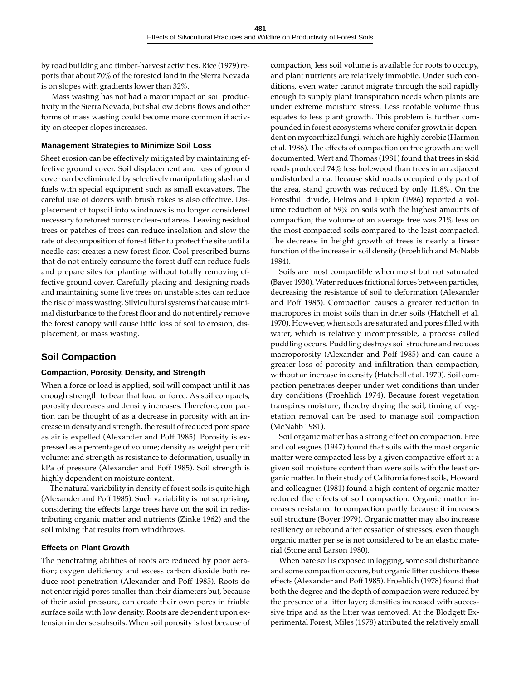by road building and timber-harvest activities. Rice (1979) reports that about 70% of the forested land in the Sierra Nevada is on slopes with gradients lower than 32%.

 Mass wasting has not had a major impact on soil productivity in the Sierra Nevada, but shallow debris flows and other forms of mass wasting could become more common if activity on steeper slopes increases.

#### **Management Strategies to Minimize Soil Loss**

Sheet erosion can be effectively mitigated by maintaining effective ground cover. Soil displacement and loss of ground cover can be eliminated by selectively manipulating slash and fuels with special equipment such as small excavators. The careful use of dozers with brush rakes is also effective. Displacement of topsoil into windrows is no longer considered necessary to reforest burns or clear-cut areas. Leaving residual trees or patches of trees can reduce insolation and slow the rate of decomposition of forest litter to protect the site until a needle cast creates a new forest floor. Cool prescribed burns that do not entirely consume the forest duff can reduce fuels and prepare sites for planting without totally removing effective ground cover. Carefully placing and designing roads and maintaining some live trees on unstable sites can reduce the risk of mass wasting. Silvicultural systems that cause minimal disturbance to the forest floor and do not entirely remove the forest canopy will cause little loss of soil to erosion, displacement, or mass wasting.

## **Soil Compaction**

#### **Compaction, Porosity, Density, and Strength**

When a force or load is applied, soil will compact until it has enough strength to bear that load or force. As soil compacts, porosity decreases and density increases. Therefore, compaction can be thought of as a decrease in porosity with an increase in density and strength, the result of reduced pore space as air is expelled (Alexander and Poff 1985). Porosity is expressed as a percentage of volume; density as weight per unit volume; and strength as resistance to deformation, usually in kPa of pressure (Alexander and Poff 1985). Soil strength is highly dependent on moisture content.

The natural variability in density of forest soils is quite high (Alexander and Poff 1985). Such variability is not surprising, considering the effects large trees have on the soil in redistributing organic matter and nutrients (Zinke 1962) and the soil mixing that results from windthrows.

#### **Effects on Plant Growth**

The penetrating abilities of roots are reduced by poor aeration; oxygen deficiency and excess carbon dioxide both reduce root penetration (Alexander and Poff 1985). Roots do not enter rigid pores smaller than their diameters but, because of their axial pressure, can create their own pores in friable surface soils with low density. Roots are dependent upon extension in dense subsoils. When soil porosity is lost because of compaction, less soil volume is available for roots to occupy, and plant nutrients are relatively immobile. Under such conditions, even water cannot migrate through the soil rapidly enough to supply plant transpiration needs when plants are under extreme moisture stress. Less rootable volume thus equates to less plant growth. This problem is further compounded in forest ecosystems where conifer growth is dependent on mycorrhizal fungi, which are highly aerobic (Harmon et al. 1986). The effects of compaction on tree growth are well documented. Wert and Thomas (1981) found that trees in skid roads produced 74% less bolewood than trees in an adjacent undisturbed area. Because skid roads occupied only part of the area, stand growth was reduced by only 11.8%. On the Foresthill divide, Helms and Hipkin (1986) reported a volume reduction of 59% on soils with the highest amounts of compaction; the volume of an average tree was 21% less on the most compacted soils compared to the least compacted. The decrease in height growth of trees is nearly a linear function of the increase in soil density (Froehlich and McNabb 1984).

Soils are most compactible when moist but not saturated (Baver 1930). Water reduces frictional forces between particles, decreasing the resistance of soil to deformation (Alexander and Poff 1985). Compaction causes a greater reduction in macropores in moist soils than in drier soils (Hatchell et al. 1970). However, when soils are saturated and pores filled with water, which is relatively incompressible, a process called puddling occurs. Puddling destroys soil structure and reduces macroporosity (Alexander and Poff 1985) and can cause a greater loss of porosity and infiltration than compaction, without an increase in density (Hatchell et al. 1970). Soil compaction penetrates deeper under wet conditions than under dry conditions (Froehlich 1974). Because forest vegetation transpires moisture, thereby drying the soil, timing of vegetation removal can be used to manage soil compaction (McNabb 1981).

Soil organic matter has a strong effect on compaction. Free and colleagues (1947) found that soils with the most organic matter were compacted less by a given compactive effort at a given soil moisture content than were soils with the least organic matter. In their study of California forest soils, Howard and colleagues (1981) found a high content of organic matter reduced the effects of soil compaction. Organic matter increases resistance to compaction partly because it increases soil structure (Boyer 1979). Organic matter may also increase resiliency or rebound after cessation of stresses, even though organic matter per se is not considered to be an elastic material (Stone and Larson 1980).

When bare soil is exposed in logging, some soil disturbance and some compaction occurs, but organic litter cushions these effects (Alexander and Poff 1985). Froehlich (1978) found that both the degree and the depth of compaction were reduced by the presence of a litter layer; densities increased with successive trips and as the litter was removed. At the Blodgett Experimental Forest, Miles (1978) attributed the relatively small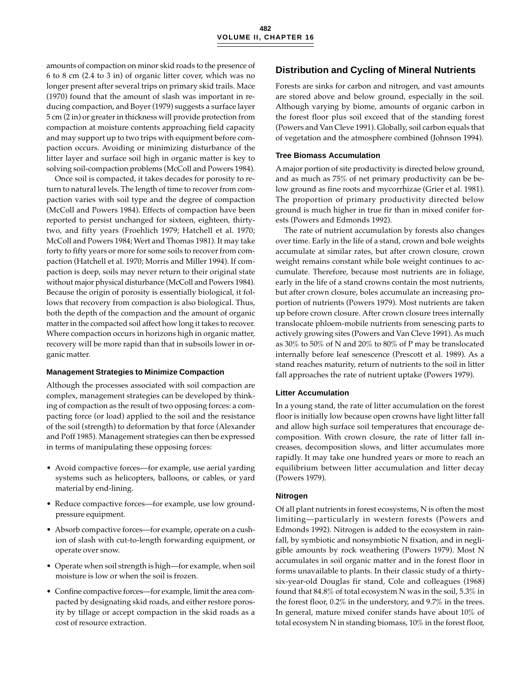amounts of compaction on minor skid roads to the presence of 6 to 8 cm (2.4 to 3 in) of organic litter cover, which was no longer present after several trips on primary skid trails. Mace (1970) found that the amount of slash was important in reducing compaction, and Boyer (1979) suggests a surface layer 5 cm (2 in) or greater in thickness will provide protection from compaction at moisture contents approaching field capacity and may support up to two trips with equipment before compaction occurs. Avoiding or minimizing disturbance of the litter layer and surface soil high in organic matter is key to solving soil-compaction problems (McColl and Powers 1984).

Once soil is compacted, it takes decades for porosity to return to natural levels. The length of time to recover from compaction varies with soil type and the degree of compaction (McColl and Powers 1984). Effects of compaction have been reported to persist unchanged for sixteen, eighteen, thirtytwo, and fifty years (Froehlich 1979; Hatchell et al. 1970; McColl and Powers 1984; Wert and Thomas 1981). It may take forty to fifty years or more for some soils to recover from compaction (Hatchell et al. 1970; Morris and Miller 1994). If compaction is deep, soils may never return to their original state without major physical disturbance (McColl and Powers 1984). Because the origin of porosity is essentially biological, it follows that recovery from compaction is also biological. Thus, both the depth of the compaction and the amount of organic matter in the compacted soil affect how long it takes to recover. Where compaction occurs in horizons high in organic matter, recovery will be more rapid than that in subsoils lower in organic matter.

#### **Management Strategies to Minimize Compaction**

Although the processes associated with soil compaction are complex, management strategies can be developed by thinking of compaction as the result of two opposing forces: a compacting force (or load) applied to the soil and the resistance of the soil (strength) to deformation by that force (Alexander and Poff 1985). Management strategies can then be expressed in terms of manipulating these opposing forces:

- Avoid compactive forces—for example, use aerial yarding systems such as helicopters, balloons, or cables, or yard material by end-lining.
- Reduce compactive forces—for example, use low groundpressure equipment.
- Absorb compactive forces—for example, operate on a cushion of slash with cut-to-length forwarding equipment, or operate over snow.
- Operate when soil strength is high—for example, when soil moisture is low or when the soil is frozen.
- Confine compactive forces—for example, limit the area compacted by designating skid roads, and either restore porosity by tillage or accept compaction in the skid roads as a cost of resource extraction.

## **Distribution and Cycling of Mineral Nutrients**

Forests are sinks for carbon and nitrogen, and vast amounts are stored above and below ground, especially in the soil. Although varying by biome, amounts of organic carbon in the forest floor plus soil exceed that of the standing forest (Powers and Van Cleve 1991). Globally, soil carbon equals that of vegetation and the atmosphere combined (Johnson 1994).

#### **Tree Biomass Accumulation**

A major portion of site productivity is directed below ground, and as much as 75% of net primary productivity can be below ground as fine roots and mycorrhizae (Grier et al. 1981). The proportion of primary productivity directed below ground is much higher in true fir than in mixed conifer forests (Powers and Edmonds 1992).

The rate of nutrient accumulation by forests also changes over time. Early in the life of a stand, crown and bole weights accumulate at similar rates, but after crown closure, crown weight remains constant while bole weight continues to accumulate. Therefore, because most nutrients are in foliage, early in the life of a stand crowns contain the most nutrients, but after crown closure, boles accumulate an increasing proportion of nutrients (Powers 1979). Most nutrients are taken up before crown closure. After crown closure trees internally translocate phloem-mobile nutrients from senescing parts to actively growing sites (Powers and Van Cleve 1991). As much as 30% to 50% of N and 20% to 80% of P may be translocated internally before leaf senescence (Prescott et al. 1989). As a stand reaches maturity, return of nutrients to the soil in litter fall approaches the rate of nutrient uptake (Powers 1979).

#### **Litter Accumulation**

In a young stand, the rate of litter accumulation on the forest floor is initially low because open crowns have light litter fall and allow high surface soil temperatures that encourage decomposition. With crown closure, the rate of litter fall increases, decomposition slows, and litter accumulates more rapidly. It may take one hundred years or more to reach an equilibrium between litter accumulation and litter decay (Powers 1979).

#### **Nitrogen**

Of all plant nutrients in forest ecosystems, N is often the most limiting—particularly in western forests (Powers and Edmonds 1992). Nitrogen is added to the ecosystem in rainfall, by symbiotic and nonsymbiotic N fixation, and in negligible amounts by rock weathering (Powers 1979). Most N accumulates in soil organic matter and in the forest floor in forms unavailable to plants. In their classic study of a thirtysix-year-old Douglas fir stand, Cole and colleagues (1968) found that 84.8% of total ecosystem N was in the soil, 5.3% in the forest floor, 0.2% in the understory, and 9.7% in the trees. In general, mature mixed conifer stands have about 10% of total ecosystem N in standing biomass, 10% in the forest floor,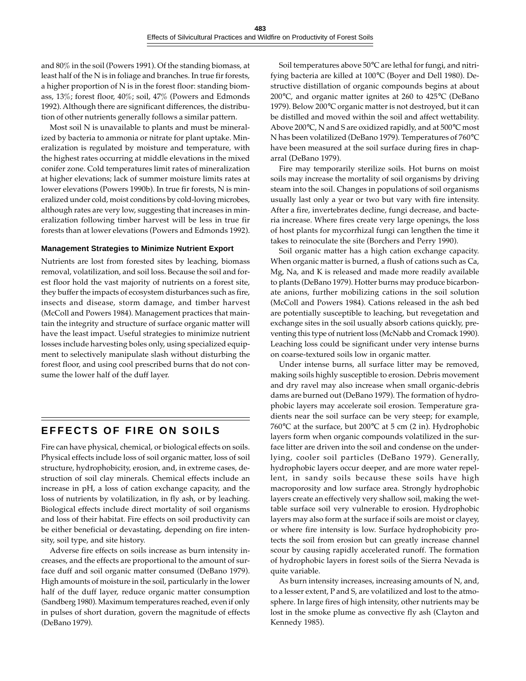and 80% in the soil (Powers 1991). Of the standing biomass, at least half of the N is in foliage and branches. In true fir forests, a higher proportion of N is in the forest floor: standing biomass, 13%; forest floor, 40%; soil, 47% (Powers and Edmonds 1992). Although there are significant differences, the distribution of other nutrients generally follows a similar pattern.

Most soil N is unavailable to plants and must be mineralized by bacteria to ammonia or nitrate for plant uptake. Mineralization is regulated by moisture and temperature, with the highest rates occurring at middle elevations in the mixed conifer zone. Cold temperatures limit rates of mineralization at higher elevations; lack of summer moisture limits rates at lower elevations (Powers 1990b). In true fir forests, N is mineralized under cold, moist conditions by cold-loving microbes, although rates are very low, suggesting that increases in mineralization following timber harvest will be less in true fir forests than at lower elevations (Powers and Edmonds 1992).

#### **Management Strategies to Minimize Nutrient Export**

Nutrients are lost from forested sites by leaching, biomass removal, volatilization, and soil loss. Because the soil and forest floor hold the vast majority of nutrients on a forest site, they buffer the impacts of ecosystem disturbances such as fire, insects and disease, storm damage, and timber harvest (McColl and Powers 1984). Management practices that maintain the integrity and structure of surface organic matter will have the least impact. Useful strategies to minimize nutrient losses include harvesting boles only, using specialized equipment to selectively manipulate slash without disturbing the forest floor, and using cool prescribed burns that do not consume the lower half of the duff layer.

## **EFFECTS OF FIRE ON SOILS**

Fire can have physical, chemical, or biological effects on soils. Physical effects include loss of soil organic matter, loss of soil structure, hydrophobicity, erosion, and, in extreme cases, destruction of soil clay minerals. Chemical effects include an increase in pH, a loss of cation exchange capacity, and the loss of nutrients by volatilization, in fly ash, or by leaching. Biological effects include direct mortality of soil organisms and loss of their habitat. Fire effects on soil productivity can be either beneficial or devastating, depending on fire intensity, soil type, and site history.

Adverse fire effects on soils increase as burn intensity increases, and the effects are proportional to the amount of surface duff and soil organic matter consumed (DeBano 1979). High amounts of moisture in the soil, particularly in the lower half of the duff layer, reduce organic matter consumption (Sandberg 1980). Maximum temperatures reached, even if only in pulses of short duration, govern the magnitude of effects (DeBano 1979).

Soil temperatures above 50°C are lethal for fungi, and nitrifying bacteria are killed at 100°C (Boyer and Dell 1980). Destructive distillation of organic compounds begins at about 200°C, and organic matter ignites at 260 to 425°C (DeBano 1979). Below 200°C organic matter is not destroyed, but it can be distilled and moved within the soil and affect wettability. Above 200°C, N and S are oxidized rapidly, and at 500°C most N has been volatilized (DeBano 1979). Temperatures of 760°C have been measured at the soil surface during fires in chaparral (DeBano 1979).

Fire may temporarily sterilize soils. Hot burns on moist soils may increase the mortality of soil organisms by driving steam into the soil. Changes in populations of soil organisms usually last only a year or two but vary with fire intensity. After a fire, invertebrates decline, fungi decrease, and bacteria increase. Where fires create very large openings, the loss of host plants for mycorrhizal fungi can lengthen the time it takes to reinoculate the site (Borchers and Perry 1990).

Soil organic matter has a high cation exchange capacity. When organic matter is burned, a flush of cations such as Ca, Mg, Na, and K is released and made more readily available to plants (DeBano 1979). Hotter burns may produce bicarbonate anions, further mobilizing cations in the soil solution (McColl and Powers 1984). Cations released in the ash bed are potentially susceptible to leaching, but revegetation and exchange sites in the soil usually absorb cations quickly, preventing this type of nutrient loss (McNabb and Cromack 1990). Leaching loss could be significant under very intense burns on coarse-textured soils low in organic matter.

Under intense burns, all surface litter may be removed, making soils highly susceptible to erosion. Debris movement and dry ravel may also increase when small organic-debris dams are burned out (DeBano 1979). The formation of hydrophobic layers may accelerate soil erosion. Temperature gradients near the soil surface can be very steep; for example, 760°C at the surface, but 200°C at 5 cm (2 in). Hydrophobic layers form when organic compounds volatilized in the surface litter are driven into the soil and condense on the underlying, cooler soil particles (DeBano 1979). Generally, hydrophobic layers occur deeper, and are more water repellent, in sandy soils because these soils have high macroporosity and low surface area. Strongly hydrophobic layers create an effectively very shallow soil, making the wettable surface soil very vulnerable to erosion. Hydrophobic layers may also form at the surface if soils are moist or clayey, or where fire intensity is low. Surface hydrophobicity protects the soil from erosion but can greatly increase channel scour by causing rapidly accelerated runoff. The formation of hydrophobic layers in forest soils of the Sierra Nevada is quite variable.

As burn intensity increases, increasing amounts of N, and, to a lesser extent, P and S, are volatilized and lost to the atmosphere. In large fires of high intensity, other nutrients may be lost in the smoke plume as convective fly ash (Clayton and Kennedy 1985).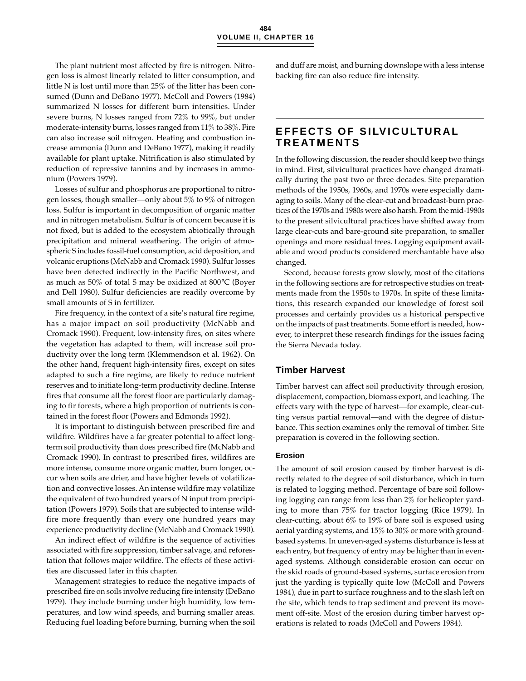The plant nutrient most affected by fire is nitrogen. Nitrogen loss is almost linearly related to litter consumption, and little N is lost until more than 25% of the litter has been consumed (Dunn and DeBano 1977). McColl and Powers (1984) summarized N losses for different burn intensities. Under severe burns, N losses ranged from 72% to 99%, but under moderate-intensity burns, losses ranged from 11% to 38%. Fire can also increase soil nitrogen. Heating and combustion increase ammonia (Dunn and DeBano 1977), making it readily available for plant uptake. Nitrification is also stimulated by reduction of repressive tannins and by increases in ammonium (Powers 1979).

Losses of sulfur and phosphorus are proportional to nitrogen losses, though smaller—only about 5% to 9% of nitrogen loss. Sulfur is important in decomposition of organic matter and in nitrogen metabolism. Sulfur is of concern because it is not fixed, but is added to the ecosystem abiotically through precipitation and mineral weathering. The origin of atmospheric S includes fossil-fuel consumption, acid deposition, and volcanic eruptions (McNabb and Cromack 1990). Sulfur losses have been detected indirectly in the Pacific Northwest, and as much as 50% of total S may be oxidized at 800°C (Boyer and Dell 1980). Sulfur deficiencies are readily overcome by small amounts of S in fertilizer.

Fire frequency, in the context of a site's natural fire regime, has a major impact on soil productivity (McNabb and Cromack 1990). Frequent, low-intensity fires, on sites where the vegetation has adapted to them, will increase soil productivity over the long term (Klemmendson et al. 1962). On the other hand, frequent high-intensity fires, except on sites adapted to such a fire regime, are likely to reduce nutrient reserves and to initiate long-term productivity decline. Intense fires that consume all the forest floor are particularly damaging to fir forests, where a high proportion of nutrients is contained in the forest floor (Powers and Edmonds 1992).

It is important to distinguish between prescribed fire and wildfire. Wildfires have a far greater potential to affect longterm soil productivity than does prescribed fire (McNabb and Cromack 1990). In contrast to prescribed fires, wildfires are more intense, consume more organic matter, burn longer, occur when soils are drier, and have higher levels of volatilization and convective losses. An intense wildfire may volatilize the equivalent of two hundred years of N input from precipitation (Powers 1979). Soils that are subjected to intense wildfire more frequently than every one hundred years may experience productivity decline (McNabb and Cromack 1990).

An indirect effect of wildfire is the sequence of activities associated with fire suppression, timber salvage, and reforestation that follows major wildfire. The effects of these activities are discussed later in this chapter.

Management strategies to reduce the negative impacts of prescribed fire on soils involve reducing fire intensity (DeBano 1979). They include burning under high humidity, low temperatures, and low wind speeds, and burning smaller areas. Reducing fuel loading before burning, burning when the soil and duff are moist, and burning downslope with a less intense backing fire can also reduce fire intensity.

## **EFFECTS OF SILVICULTURAL TREATMENTS**

In the following discussion, the reader should keep two things in mind. First, silvicultural practices have changed dramatically during the past two or three decades. Site preparation methods of the 1950s, 1960s, and 1970s were especially damaging to soils. Many of the clear-cut and broadcast-burn practices of the 1970s and 1980s were also harsh. From the mid-1980s to the present silvicultural practices have shifted away from large clear-cuts and bare-ground site preparation, to smaller openings and more residual trees. Logging equipment available and wood products considered merchantable have also changed.

Second, because forests grow slowly, most of the citations in the following sections are for retrospective studies on treatments made from the 1950s to 1970s. In spite of these limitations, this research expanded our knowledge of forest soil processes and certainly provides us a historical perspective on the impacts of past treatments. Some effort is needed, however, to interpret these research findings for the issues facing the Sierra Nevada today.

#### **Timber Harvest**

Timber harvest can affect soil productivity through erosion, displacement, compaction, biomass export, and leaching. The effects vary with the type of harvest—for example, clear-cutting versus partial removal—and with the degree of disturbance. This section examines only the removal of timber. Site preparation is covered in the following section.

#### **Erosion**

The amount of soil erosion caused by timber harvest is directly related to the degree of soil disturbance, which in turn is related to logging method. Percentage of bare soil following logging can range from less than 2% for helicopter yarding to more than 75% for tractor logging (Rice 1979). In clear-cutting, about 6% to 19% of bare soil is exposed using aerial yarding systems, and 15% to 30% or more with groundbased systems. In uneven-aged systems disturbance is less at each entry, but frequency of entry may be higher than in evenaged systems. Although considerable erosion can occur on the skid roads of ground-based systems, surface erosion from just the yarding is typically quite low (McColl and Powers 1984), due in part to surface roughness and to the slash left on the site, which tends to trap sediment and prevent its movement off-site. Most of the erosion during timber harvest operations is related to roads (McColl and Powers 1984).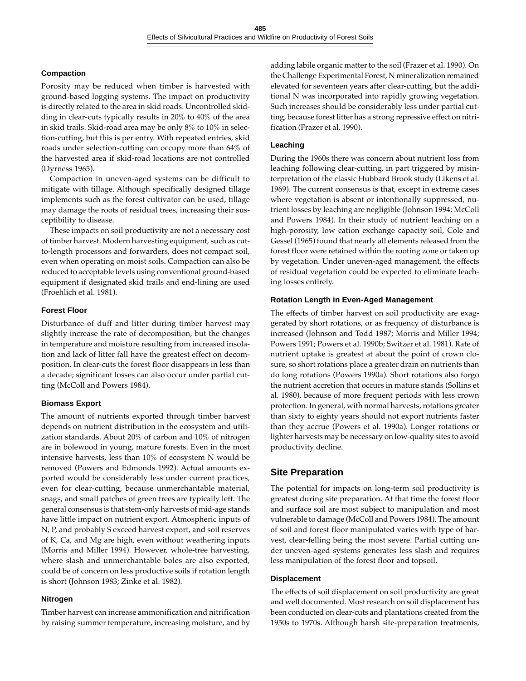#### **Compaction**

Porosity may be reduced when timber is harvested with ground-based logging systems. The impact on productivity is directly related to the area in skid roads. Uncontrolled skidding in clear-cuts typically results in 20% to 40% of the area in skid trails. Skid-road area may be only 8% to 10% in selection-cutting, but this is per entry. With repeated entries, skid roads under selection-cutting can occupy more than 64% of the harvested area if skid-road locations are not controlled (Dyrness 1965).

Compaction in uneven-aged systems can be difficult to mitigate with tillage. Although specifically designed tillage implements such as the forest cultivator can be used, tillage may damage the roots of residual trees, increasing their susceptibility to disease.

These impacts on soil productivity are not a necessary cost of timber harvest. Modern harvesting equipment, such as cutto-length processors and forwarders, does not compact soil, even when operating on moist soils. Compaction can also be reduced to acceptable levels using conventional ground-based equipment if designated skid trails and end-lining are used (Froehlich et al. 1981).

#### **Forest Floor**

Disturbance of duff and litter during timber harvest may slightly increase the rate of decomposition, but the changes in temperature and moisture resulting from increased insolation and lack of litter fall have the greatest effect on decomposition. In clear-cuts the forest floor disappears in less than a decade; significant losses can also occur under partial cutting (McColl and Powers 1984).

#### **Biomass Export**

The amount of nutrients exported through timber harvest depends on nutrient distribution in the ecosystem and utilization standards. About 20% of carbon and 10% of nitrogen are in bolewood in young, mature forests. Even in the most intensive harvests, less than 10% of ecosystem N would be removed (Powers and Edmonds 1992). Actual amounts exported would be considerably less under current practices, even for clear-cutting, because unmerchantable material, snags, and small patches of green trees are typically left. The general consensus is that stem-only harvests of mid-age stands have little impact on nutrient export. Atmospheric inputs of N, P, and probably S exceed harvest export, and soil reserves of K, Ca, and Mg are high, even without weathering inputs (Morris and Miller 1994). However, whole-tree harvesting, where slash and unmerchantable boles are also exported, could be of concern on less productive soils if rotation length is short (Johnson 1983; Zinke et al. 1982).

#### **Nitrogen**

Timber harvest can increase ammonification and nitrification by raising summer temperature, increasing moisture, and by adding labile organic matter to the soil (Frazer et al. 1990). On the Challenge Experimental Forest, N mineralization remained elevated for seventeen years after clear-cutting, but the additional N was incorporated into rapidly growing vegetation. Such increases should be considerably less under partial cutting, because forest litter has a strong repressive effect on nitrification (Frazer et al. 1990).

#### **Leaching**

During the 1960s there was concern about nutrient loss from leaching following clear-cutting, in part triggered by misinterpretation of the classic Hubbard Brook study (Likens et al. 1969). The current consensus is that, except in extreme cases where vegetation is absent or intentionally suppressed, nutrient losses by leaching are negligible (Johnson 1994; McColl and Powers 1984). In their study of nutrient leaching on a high-porosity, low cation exchange capacity soil, Cole and Gessel (1965) found that nearly all elements released from the forest floor were retained within the rooting zone or taken up by vegetation. Under uneven-aged management, the effects of residual vegetation could be expected to eliminate leaching losses entirely.

#### **Rotation Length in Even-Aged Management**

The effects of timber harvest on soil productivity are exaggerated by short rotations, or as frequency of disturbance is increased (Johnson and Todd 1987; Morris and Miller 1994; Powers 1991; Powers et al. 1990b; Switzer et al. 1981). Rate of nutrient uptake is greatest at about the point of crown closure, so short rotations place a greater drain on nutrients than do long rotations (Powers 1990a). Short rotations also forgo the nutrient accretion that occurs in mature stands (Sollins et al. 1980), because of more frequent periods with less crown protection. In general, with normal harvests, rotations greater than sixty to eighty years should not export nutrients faster than they accrue (Powers et al. 1990a). Longer rotations or lighter harvests may be necessary on low-quality sites to avoid productivity decline.

### **Site Preparation**

The potential for impacts on long-term soil productivity is greatest during site preparation. At that time the forest floor and surface soil are most subject to manipulation and most vulnerable to damage (McColl and Powers 1984). The amount of soil and forest floor manipulated varies with type of harvest, clear-felling being the most severe. Partial cutting under uneven-aged systems generates less slash and requires less manipulation of the forest floor and topsoil.

#### **Displacement**

The effects of soil displacement on soil productivity are great and well documented. Most research on soil displacement has been conducted on clear-cuts and plantations created from the 1950s to 1970s. Although harsh site-preparation treatments,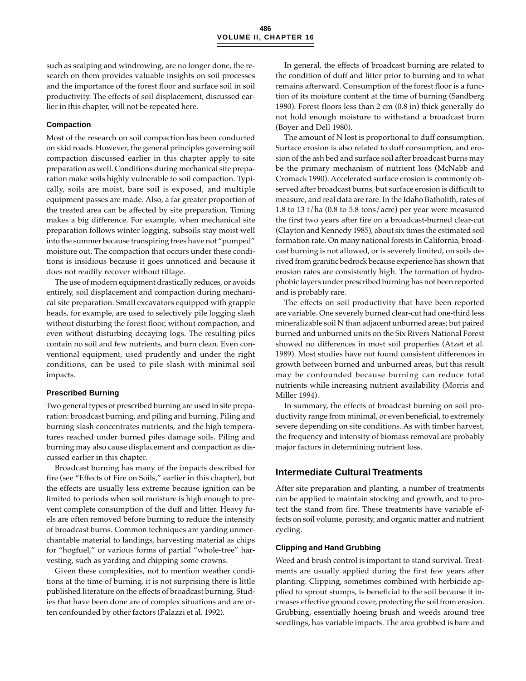such as scalping and windrowing, are no longer done, the research on them provides valuable insights on soil processes and the importance of the forest floor and surface soil in soil productivity. The effects of soil displacement, discussed earlier in this chapter, will not be repeated here.

#### **Compaction**

Most of the research on soil compaction has been conducted on skid roads. However, the general principles governing soil compaction discussed earlier in this chapter apply to site preparation as well. Conditions during mechanical site preparation make soils highly vulnerable to soil compaction. Typically, soils are moist, bare soil is exposed, and multiple equipment passes are made. Also, a far greater proportion of the treated area can be affected by site preparation. Timing makes a big difference. For example, when mechanical site preparation follows winter logging, subsoils stay moist well into the summer because transpiring trees have not "pumped" moisture out. The compaction that occurs under these conditions is insidious because it goes unnoticed and because it does not readily recover without tillage.

The use of modern equipment drastically reduces, or avoids entirely, soil displacement and compaction during mechanical site preparation. Small excavators equipped with grapple heads, for example, are used to selectively pile logging slash without disturbing the forest floor, without compaction, and even without disturbing decaying logs. The resulting piles contain no soil and few nutrients, and burn clean. Even conventional equipment, used prudently and under the right conditions, can be used to pile slash with minimal soil impacts.

#### **Prescribed Burning**

Two general types of prescribed burning are used in site preparation: broadcast burning, and piling and burning. Piling and burning slash concentrates nutrients, and the high temperatures reached under burned piles damage soils. Piling and burning may also cause displacement and compaction as discussed earlier in this chapter.

Broadcast burning has many of the impacts described for fire (see "Effects of Fire on Soils," earlier in this chapter), but the effects are usually less extreme because ignition can be limited to periods when soil moisture is high enough to prevent complete consumption of the duff and litter. Heavy fuels are often removed before burning to reduce the intensity of broadcast burns. Common techniques are yarding unmerchantable material to landings, harvesting material as chips for "hogfuel," or various forms of partial "whole-tree" harvesting, such as yarding and chipping some crowns.

Given these complexities, not to mention weather conditions at the time of burning, it is not surprising there is little published literature on the effects of broadcast burning. Studies that have been done are of complex situations and are often confounded by other factors (Palazzi et al. 1992).

In general, the effects of broadcast burning are related to the condition of duff and litter prior to burning and to what remains afterward. Consumption of the forest floor is a function of its moisture content at the time of burning (Sandberg 1980). Forest floors less than 2 cm (0.8 in) thick generally do not hold enough moisture to withstand a broadcast burn (Boyer and Dell 1980).

The amount of N lost is proportional to duff consumption. Surface erosion is also related to duff consumption, and erosion of the ash bed and surface soil after broadcast burns may be the primary mechanism of nutrient loss (McNabb and Cromack 1990). Accelerated surface erosion is commonly observed after broadcast burns, but surface erosion is difficult to measure, and real data are rare. In the Idaho Batholith, rates of 1.8 to 13 t/ha (0.8 to 5.8 tons/acre) per year were measured the first two years after fire on a broadcast-burned clear-cut (Clayton and Kennedy 1985), about six times the estimated soil formation rate. On many national forests in California, broadcast burning is not allowed, or is severely limited, on soils derived from granitic bedrock because experience has shown that erosion rates are consistently high. The formation of hydrophobic layers under prescribed burning has not been reported and is probably rare.

The effects on soil productivity that have been reported are variable. One severely burned clear-cut had one-third less mineralizable soil N than adjacent unburned areas; but paired burned and unburned units on the Six Rivers National Forest showed no differences in most soil properties (Atzet et al. 1989). Most studies have not found consistent differences in growth between burned and unburned areas, but this result may be confounded because burning can reduce total nutrients while increasing nutrient availability (Morris and Miller 1994).

In summary, the effects of broadcast burning on soil productivity range from minimal, or even beneficial, to extremely severe depending on site conditions. As with timber harvest, the frequency and intensity of biomass removal are probably major factors in determining nutrient loss.

#### **Intermediate Cultural Treatments**

After site preparation and planting, a number of treatments can be applied to maintain stocking and growth, and to protect the stand from fire. These treatments have variable effects on soil volume, porosity, and organic matter and nutrient cycling.

#### **Clipping and Hand Grubbing**

Weed and brush control is important to stand survival. Treatments are usually applied during the first few years after planting. Clipping, sometimes combined with herbicide applied to sprout stumps, is beneficial to the soil because it increases effective ground cover, protecting the soil from erosion. Grubbing, essentially hoeing brush and weeds around tree seedlings, has variable impacts. The area grubbed is bare and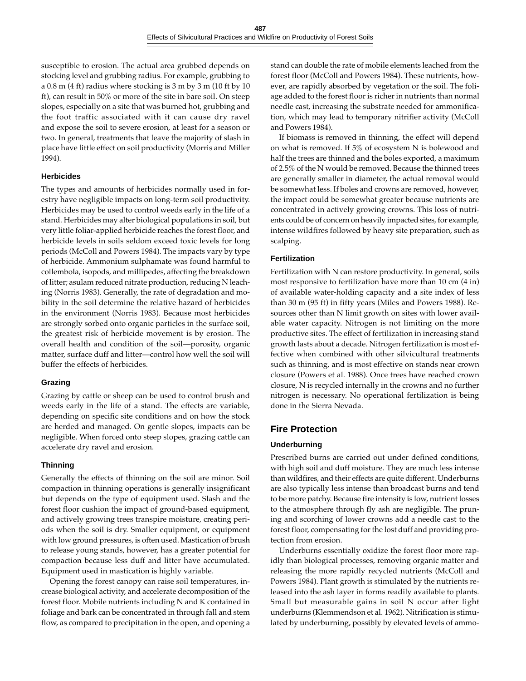susceptible to erosion. The actual area grubbed depends on stocking level and grubbing radius. For example, grubbing to a 0.8 m (4 ft) radius where stocking is 3 m by 3 m (10 ft by 10 ft), can result in 50% or more of the site in bare soil. On steep slopes, especially on a site that was burned hot, grubbing and the foot traffic associated with it can cause dry ravel and expose the soil to severe erosion, at least for a season or two. In general, treatments that leave the majority of slash in place have little effect on soil productivity (Morris and Miller 1994).

#### **Herbicides**

The types and amounts of herbicides normally used in forestry have negligible impacts on long-term soil productivity. Herbicides may be used to control weeds early in the life of a stand. Herbicides may alter biological populations in soil, but very little foliar-applied herbicide reaches the forest floor, and herbicide levels in soils seldom exceed toxic levels for long periods (McColl and Powers 1984). The impacts vary by type of herbicide. Ammonium sulphamate was found harmful to collembola, isopods, and millipedes, affecting the breakdown of litter; asulam reduced nitrate production, reducing N leaching (Norris 1983). Generally, the rate of degradation and mobility in the soil determine the relative hazard of herbicides in the environment (Norris 1983). Because most herbicides are strongly sorbed onto organic particles in the surface soil, the greatest risk of herbicide movement is by erosion. The overall health and condition of the soil—porosity, organic matter, surface duff and litter—control how well the soil will buffer the effects of herbicides.

#### **Grazing**

Grazing by cattle or sheep can be used to control brush and weeds early in the life of a stand. The effects are variable, depending on specific site conditions and on how the stock are herded and managed. On gentle slopes, impacts can be negligible. When forced onto steep slopes, grazing cattle can accelerate dry ravel and erosion.

#### **Thinning**

Generally the effects of thinning on the soil are minor. Soil compaction in thinning operations is generally insignificant but depends on the type of equipment used. Slash and the forest floor cushion the impact of ground-based equipment, and actively growing trees transpire moisture, creating periods when the soil is dry. Smaller equipment, or equipment with low ground pressures, is often used. Mastication of brush to release young stands, however, has a greater potential for compaction because less duff and litter have accumulated. Equipment used in mastication is highly variable.

Opening the forest canopy can raise soil temperatures, increase biological activity, and accelerate decomposition of the forest floor. Mobile nutrients including N and K contained in foliage and bark can be concentrated in through fall and stem flow, as compared to precipitation in the open, and opening a stand can double the rate of mobile elements leached from the forest floor (McColl and Powers 1984). These nutrients, however, are rapidly absorbed by vegetation or the soil. The foliage added to the forest floor is richer in nutrients than normal needle cast, increasing the substrate needed for ammonification, which may lead to temporary nitrifier activity (McColl and Powers 1984).

If biomass is removed in thinning, the effect will depend on what is removed. If 5% of ecosystem N is bolewood and half the trees are thinned and the boles exported, a maximum of 2.5% of the N would be removed. Because the thinned trees are generally smaller in diameter, the actual removal would be somewhat less. If boles and crowns are removed, however, the impact could be somewhat greater because nutrients are concentrated in actively growing crowns. This loss of nutrients could be of concern on heavily impacted sites, for example, intense wildfires followed by heavy site preparation, such as scalping.

#### **Fertilization**

Fertilization with N can restore productivity. In general, soils most responsive to fertilization have more than 10 cm (4 in) of available water-holding capacity and a site index of less than 30 m (95 ft) in fifty years (Miles and Powers 1988). Resources other than N limit growth on sites with lower available water capacity. Nitrogen is not limiting on the more productive sites. The effect of fertilization in increasing stand growth lasts about a decade. Nitrogen fertilization is most effective when combined with other silvicultural treatments such as thinning, and is most effective on stands near crown closure (Powers et al. 1988). Once trees have reached crown closure, N is recycled internally in the crowns and no further nitrogen is necessary. No operational fertilization is being done in the Sierra Nevada.

### **Fire Protection**

#### **Underburning**

Prescribed burns are carried out under defined conditions, with high soil and duff moisture. They are much less intense than wildfires, and their effects are quite different. Underburns are also typically less intense than broadcast burns and tend to be more patchy. Because fire intensity is low, nutrient losses to the atmosphere through fly ash are negligible. The pruning and scorching of lower crowns add a needle cast to the forest floor, compensating for the lost duff and providing protection from erosion.

Underburns essentially oxidize the forest floor more rapidly than biological processes, removing organic matter and releasing the more rapidly recycled nutrients (McColl and Powers 1984). Plant growth is stimulated by the nutrients released into the ash layer in forms readily available to plants. Small but measurable gains in soil N occur after light underburns (Klemmendson et al. 1962). Nitrification is stimulated by underburning, possibly by elevated levels of ammo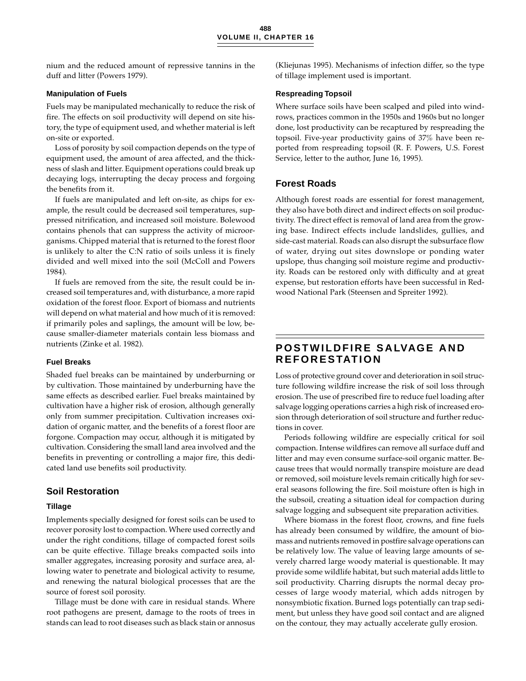nium and the reduced amount of repressive tannins in the duff and litter (Powers 1979).

#### **Manipulation of Fuels**

Fuels may be manipulated mechanically to reduce the risk of fire. The effects on soil productivity will depend on site history, the type of equipment used, and whether material is left on-site or exported.

Loss of porosity by soil compaction depends on the type of equipment used, the amount of area affected, and the thickness of slash and litter. Equipment operations could break up decaying logs, interrupting the decay process and forgoing the benefits from it.

If fuels are manipulated and left on-site, as chips for example, the result could be decreased soil temperatures, suppressed nitrification, and increased soil moisture. Bolewood contains phenols that can suppress the activity of microorganisms. Chipped material that is returned to the forest floor is unlikely to alter the C:N ratio of soils unless it is finely divided and well mixed into the soil (McColl and Powers 1984).

If fuels are removed from the site, the result could be increased soil temperatures and, with disturbance, a more rapid oxidation of the forest floor. Export of biomass and nutrients will depend on what material and how much of it is removed: if primarily poles and saplings, the amount will be low, because smaller-diameter materials contain less biomass and nutrients (Zinke et al. 1982).

#### **Fuel Breaks**

Shaded fuel breaks can be maintained by underburning or by cultivation. Those maintained by underburning have the same effects as described earlier. Fuel breaks maintained by cultivation have a higher risk of erosion, although generally only from summer precipitation. Cultivation increases oxidation of organic matter, and the benefits of a forest floor are forgone. Compaction may occur, although it is mitigated by cultivation. Considering the small land area involved and the benefits in preventing or controlling a major fire, this dedicated land use benefits soil productivity.

#### **Soil Restoration**

#### **Tillage**

Implements specially designed for forest soils can be used to recover porosity lost to compaction. Where used correctly and under the right conditions, tillage of compacted forest soils can be quite effective. Tillage breaks compacted soils into smaller aggregates, increasing porosity and surface area, allowing water to penetrate and biological activity to resume, and renewing the natural biological processes that are the source of forest soil porosity.

Tillage must be done with care in residual stands. Where root pathogens are present, damage to the roots of trees in stands can lead to root diseases such as black stain or annosus

(Kliejunas 1995). Mechanisms of infection differ, so the type of tillage implement used is important.

#### **Respreading Topsoil**

Where surface soils have been scalped and piled into windrows, practices common in the 1950s and 1960s but no longer done, lost productivity can be recaptured by respreading the topsoil. Five-year productivity gains of 37% have been reported from respreading topsoil (R. F. Powers, U.S. Forest Service, letter to the author, June 16, 1995).

#### **Forest Roads**

Although forest roads are essential for forest management, they also have both direct and indirect effects on soil productivity. The direct effect is removal of land area from the growing base. Indirect effects include landslides, gullies, and side-cast material. Roads can also disrupt the subsurface flow of water, drying out sites downslope or ponding water upslope, thus changing soil moisture regime and productivity. Roads can be restored only with difficulty and at great expense, but restoration efforts have been successful in Redwood National Park (Steensen and Spreiter 1992).

## **POSTWILDFIRE SALVAGE AND REFORESTATION**

Loss of protective ground cover and deterioration in soil structure following wildfire increase the risk of soil loss through erosion. The use of prescribed fire to reduce fuel loading after salvage logging operations carries a high risk of increased erosion through deterioration of soil structure and further reductions in cover.

Periods following wildfire are especially critical for soil compaction. Intense wildfires can remove all surface duff and litter and may even consume surface-soil organic matter. Because trees that would normally transpire moisture are dead or removed, soil moisture levels remain critically high for several seasons following the fire. Soil moisture often is high in the subsoil, creating a situation ideal for compaction during salvage logging and subsequent site preparation activities.

Where biomass in the forest floor, crowns, and fine fuels has already been consumed by wildfire, the amount of biomass and nutrients removed in postfire salvage operations can be relatively low. The value of leaving large amounts of severely charred large woody material is questionable. It may provide some wildlife habitat, but such material adds little to soil productivity. Charring disrupts the normal decay processes of large woody material, which adds nitrogen by nonsymbiotic fixation. Burned logs potentially can trap sediment, but unless they have good soil contact and are aligned on the contour, they may actually accelerate gully erosion.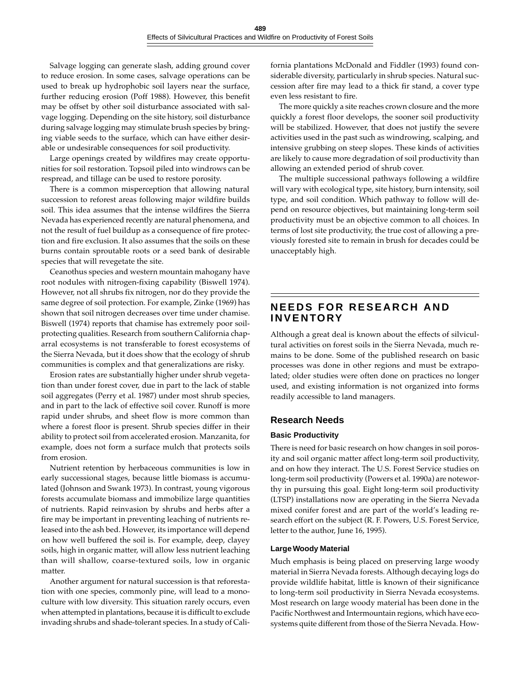Salvage logging can generate slash, adding ground cover to reduce erosion. In some cases, salvage operations can be used to break up hydrophobic soil layers near the surface, further reducing erosion (Poff 1988). However, this benefit may be offset by other soil disturbance associated with salvage logging. Depending on the site history, soil disturbance during salvage logging may stimulate brush species by bringing viable seeds to the surface, which can have either desirable or undesirable consequences for soil productivity.

Large openings created by wildfires may create opportunities for soil restoration. Topsoil piled into windrows can be respread, and tillage can be used to restore porosity.

There is a common misperception that allowing natural succession to reforest areas following major wildfire builds soil. This idea assumes that the intense wildfires the Sierra Nevada has experienced recently are natural phenomena, and not the result of fuel buildup as a consequence of fire protection and fire exclusion. It also assumes that the soils on these burns contain sproutable roots or a seed bank of desirable species that will revegetate the site.

Ceanothus species and western mountain mahogany have root nodules with nitrogen-fixing capability (Biswell 1974). However, not all shrubs fix nitrogen, nor do they provide the same degree of soil protection. For example, Zinke (1969) has shown that soil nitrogen decreases over time under chamise. Biswell (1974) reports that chamise has extremely poor soilprotecting qualities. Research from southern California chaparral ecosystems is not transferable to forest ecosystems of the Sierra Nevada, but it does show that the ecology of shrub communities is complex and that generalizations are risky.

Erosion rates are substantially higher under shrub vegetation than under forest cover, due in part to the lack of stable soil aggregates (Perry et al. 1987) under most shrub species, and in part to the lack of effective soil cover. Runoff is more rapid under shrubs, and sheet flow is more common than where a forest floor is present. Shrub species differ in their ability to protect soil from accelerated erosion. Manzanita, for example, does not form a surface mulch that protects soils from erosion.

Nutrient retention by herbaceous communities is low in early successional stages, because little biomass is accumulated (Johnson and Swank 1973). In contrast, young vigorous forests accumulate biomass and immobilize large quantities of nutrients. Rapid reinvasion by shrubs and herbs after a fire may be important in preventing leaching of nutrients released into the ash bed. However, its importance will depend on how well buffered the soil is. For example, deep, clayey soils, high in organic matter, will allow less nutrient leaching than will shallow, coarse-textured soils, low in organic matter.

Another argument for natural succession is that reforestation with one species, commonly pine, will lead to a monoculture with low diversity. This situation rarely occurs, even when attempted in plantations, because it is difficult to exclude invading shrubs and shade-tolerant species. In a study of California plantations McDonald and Fiddler (1993) found considerable diversity, particularly in shrub species. Natural succession after fire may lead to a thick fir stand, a cover type even less resistant to fire.

The more quickly a site reaches crown closure and the more quickly a forest floor develops, the sooner soil productivity will be stabilized. However, that does not justify the severe activities used in the past such as windrowing, scalping, and intensive grubbing on steep slopes. These kinds of activities are likely to cause more degradation of soil productivity than allowing an extended period of shrub cover.

The multiple successional pathways following a wildfire will vary with ecological type, site history, burn intensity, soil type, and soil condition. Which pathway to follow will depend on resource objectives, but maintaining long-term soil productivity must be an objective common to all choices. In terms of lost site productivity, the true cost of allowing a previously forested site to remain in brush for decades could be unacceptably high.

## **NEEDS FOR RESEARCH AND INVENTORY**

Although a great deal is known about the effects of silvicultural activities on forest soils in the Sierra Nevada, much remains to be done. Some of the published research on basic processes was done in other regions and must be extrapolated; older studies were often done on practices no longer used, and existing information is not organized into forms readily accessible to land managers.

#### **Research Needs**

#### **Basic Productivity**

There is need for basic research on how changes in soil porosity and soil organic matter affect long-term soil productivity, and on how they interact. The U.S. Forest Service studies on long-term soil productivity (Powers et al. 1990a) are noteworthy in pursuing this goal. Eight long-term soil productivity (LTSP) installations now are operating in the Sierra Nevada mixed conifer forest and are part of the world's leading research effort on the subject (R. F. Powers, U.S. Forest Service, letter to the author, June 16, 1995).

#### **Large Woody Material**

Much emphasis is being placed on preserving large woody material in Sierra Nevada forests. Although decaying logs do provide wildlife habitat, little is known of their significance to long-term soil productivity in Sierra Nevada ecosystems. Most research on large woody material has been done in the Pacific Northwest and Intermountain regions, which have ecosystems quite different from those of the Sierra Nevada. How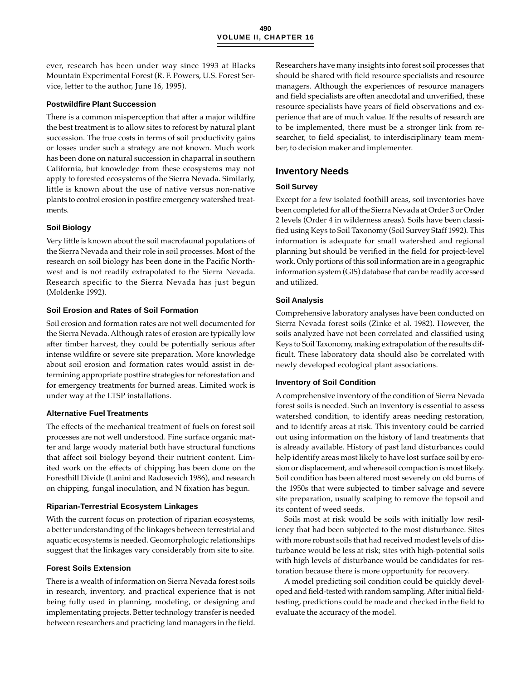ever, research has been under way since 1993 at Blacks Mountain Experimental Forest (R. F. Powers, U.S. Forest Service, letter to the author, June 16, 1995).

#### **Postwildfire Plant Succession**

There is a common misperception that after a major wildfire the best treatment is to allow sites to reforest by natural plant succession. The true costs in terms of soil productivity gains or losses under such a strategy are not known. Much work has been done on natural succession in chaparral in southern California, but knowledge from these ecosystems may not apply to forested ecosystems of the Sierra Nevada. Similarly, little is known about the use of native versus non-native plants to control erosion in postfire emergency watershed treatments.

#### **Soil Biology**

Very little is known about the soil macrofaunal populations of the Sierra Nevada and their role in soil processes. Most of the research on soil biology has been done in the Pacific Northwest and is not readily extrapolated to the Sierra Nevada. Research specific to the Sierra Nevada has just begun (Moldenke 1992).

#### **Soil Erosion and Rates of Soil Formation**

Soil erosion and formation rates are not well documented for the Sierra Nevada. Although rates of erosion are typically low after timber harvest, they could be potentially serious after intense wildfire or severe site preparation. More knowledge about soil erosion and formation rates would assist in determining appropriate postfire strategies for reforestation and for emergency treatments for burned areas. Limited work is under way at the LTSP installations.

#### **Alternative Fuel Treatments**

The effects of the mechanical treatment of fuels on forest soil processes are not well understood. Fine surface organic matter and large woody material both have structural functions that affect soil biology beyond their nutrient content. Limited work on the effects of chipping has been done on the Foresthill Divide (Lanini and Radosevich 1986), and research on chipping, fungal inoculation, and N fixation has begun.

#### **Riparian-Terrestrial Ecosystem Linkages**

With the current focus on protection of riparian ecosystems, a better understanding of the linkages between terrestrial and aquatic ecosystems is needed. Geomorphologic relationships suggest that the linkages vary considerably from site to site.

#### **Forest Soils Extension**

There is a wealth of information on Sierra Nevada forest soils in research, inventory, and practical experience that is not being fully used in planning, modeling, or designing and implementating projects. Better technology transfer is needed between researchers and practicing land managers in the field.

Researchers have many insights into forest soil processes that should be shared with field resource specialists and resource managers. Although the experiences of resource managers and field specialists are often anecdotal and unverified, these resource specialists have years of field observations and experience that are of much value. If the results of research are to be implemented, there must be a stronger link from researcher, to field specialist, to interdisciplinary team member, to decision maker and implementer.

#### **Inventory Needs**

#### **Soil Survey**

Except for a few isolated foothill areas, soil inventories have been completed for all of the Sierra Nevada at Order 3 or Order 2 levels (Order 4 in wilderness areas). Soils have been classified using Keys to Soil Taxonomy (Soil Survey Staff 1992). This information is adequate for small watershed and regional planning but should be verified in the field for project-level work. Only portions of this soil information are in a geographic information system (GIS) database that can be readily accessed and utilized.

#### **Soil Analysis**

Comprehensive laboratory analyses have been conducted on Sierra Nevada forest soils (Zinke et al. 1982). However, the soils analyzed have not been correlated and classified using Keys to Soil Taxonomy, making extrapolation of the results difficult. These laboratory data should also be correlated with newly developed ecological plant associations.

#### **Inventory of Soil Condition**

A comprehensive inventory of the condition of Sierra Nevada forest soils is needed. Such an inventory is essential to assess watershed condition, to identify areas needing restoration, and to identify areas at risk. This inventory could be carried out using information on the history of land treatments that is already available. History of past land disturbances could help identify areas most likely to have lost surface soil by erosion or displacement, and where soil compaction is most likely. Soil condition has been altered most severely on old burns of the 1950s that were subjected to timber salvage and severe site preparation, usually scalping to remove the topsoil and its content of weed seeds.

Soils most at risk would be soils with initially low resiliency that had been subjected to the most disturbance. Sites with more robust soils that had received modest levels of disturbance would be less at risk; sites with high-potential soils with high levels of disturbance would be candidates for restoration because there is more opportunity for recovery.

A model predicting soil condition could be quickly developed and field-tested with random sampling. After initial fieldtesting, predictions could be made and checked in the field to evaluate the accuracy of the model.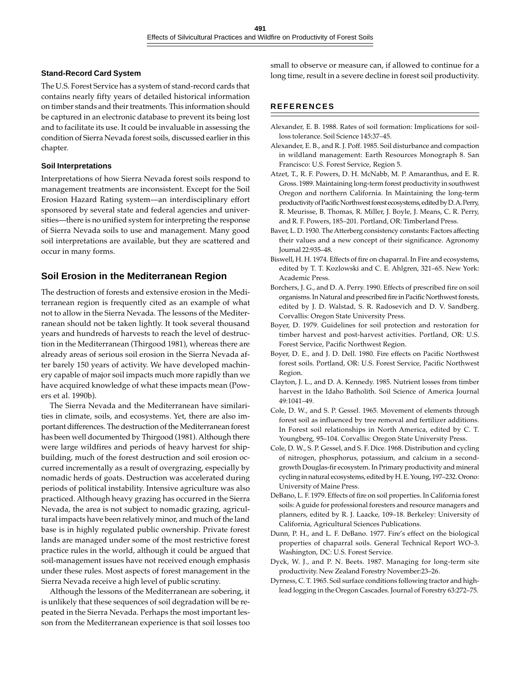#### **Stand-Record Card System**

The U.S. Forest Service has a system of stand-record cards that contains nearly fifty years of detailed historical information on timber stands and their treatments. This information should be captured in an electronic database to prevent its being lost and to facilitate its use. It could be invaluable in assessing the condition of Sierra Nevada forest soils, discussed earlier in this chapter.

#### **Soil Interpretations**

Interpretations of how Sierra Nevada forest soils respond to management treatments are inconsistent. Except for the Soil Erosion Hazard Rating system—an interdisciplinary effort sponsored by several state and federal agencies and universities—there is no unified system for interpreting the response of Sierra Nevada soils to use and management. Many good soil interpretations are available, but they are scattered and occur in many forms.

## **Soil Erosion in the Mediterranean Region**

The destruction of forests and extensive erosion in the Mediterranean region is frequently cited as an example of what not to allow in the Sierra Nevada. The lessons of the Mediterranean should not be taken lightly. It took several thousand years and hundreds of harvests to reach the level of destruction in the Mediterranean (Thirgood 1981), whereas there are already areas of serious soil erosion in the Sierra Nevada after barely 150 years of activity. We have developed machinery capable of major soil impacts much more rapidly than we have acquired knowledge of what these impacts mean (Powers et al. 1990b).

The Sierra Nevada and the Mediterranean have similarities in climate, soils, and ecosystems. Yet, there are also important differences. The destruction of the Mediterranean forest has been well documented by Thirgood (1981). Although there were large wildfires and periods of heavy harvest for shipbuilding, much of the forest destruction and soil erosion occurred incrementally as a result of overgrazing, especially by nomadic herds of goats. Destruction was accelerated during periods of political instability. Intensive agriculture was also practiced. Although heavy grazing has occurred in the Sierra Nevada, the area is not subject to nomadic grazing, agricultural impacts have been relatively minor, and much of the land base is in highly regulated public ownership. Private forest lands are managed under some of the most restrictive forest practice rules in the world, although it could be argued that soil-management issues have not received enough emphasis under these rules. Most aspects of forest management in the Sierra Nevada receive a high level of public scrutiny.

Although the lessons of the Mediterranean are sobering, it is unlikely that these sequences of soil degradation will be repeated in the Sierra Nevada. Perhaps the most important lesson from the Mediterranean experience is that soil losses too small to observe or measure can, if allowed to continue for a long time, result in a severe decline in forest soil productivity.

#### **REFERENCES**

- Alexander, E. B. 1988. Rates of soil formation: Implications for soilloss tolerance. Soil Science 145:37–45.
- Alexander, E. B., and R. J. Poff. 1985. Soil disturbance and compaction in wildland management: Earth Resources Monograph 8. San Francisco: U.S. Forest Service, Region 5.
- Atzet, T., R. F. Powers, D. H. McNabb, M. P. Amaranthus, and E. R. Gross. 1989. Maintaining long-term forest productivity in southwest Oregon and northern California. In Maintaining the long-term productivity of Pacific Northwest forest ecosystems, edited by D. A. Perry, R. Meurisse, B. Thomas, R. Miller, J. Boyle, J. Means, C. R. Perry, and R. F. Powers, 185–201. Portland, OR: Timberland Press.
- Baver, L. D. 1930. The Atterberg consistency constants: Factors affecting their values and a new concept of their significance. Agronomy Journal 22:935–48.
- Biswell, H. H. 1974. Effects of fire on chaparral. In Fire and ecosystems, edited by T. T. Kozlowski and C. E. Ahlgren, 321–65. New York: Academic Press.
- Borchers, J. G., and D. A. Perry. 1990. Effects of prescribed fire on soil organisms. In Natural and prescribed fire in Pacific Northwest forests, edited by J. D. Walstad, S. R. Radosevich and D. V. Sandberg. Corvallis: Oregon State University Press.
- Boyer, D. 1979. Guidelines for soil protection and restoration for timber harvest and post-harvest activities. Portland, OR: U.S. Forest Service, Pacific Northwest Region.
- Boyer, D. E., and J. D. Dell. 1980. Fire effects on Pacific Northwest forest soils. Portland, OR: U.S. Forest Service, Pacific Northwest Region.
- Clayton, J. L., and D. A. Kennedy. 1985. Nutrient losses from timber harvest in the Idaho Batholith. Soil Science of America Journal 49:1041–49.
- Cole, D. W., and S. P. Gessel. 1965. Movement of elements through forest soil as influenced by tree removal and fertilizer additions. In Forest soil relationships in North America, edited by C. T. Youngberg, 95–104. Corvallis: Oregon State University Press.
- Cole, D. W., S. P. Gessel, and S. F. Dice. 1968. Distribution and cycling of nitrogen, phosphorus, potassium, and calcium in a secondgrowth Douglas-fir ecosystem. In Primary productivity and mineral cycling in natural ecosystems, edited by H. E. Young, 197–232. Orono: University of Maine Press.
- DeBano, L. F. 1979. Effects of fire on soil properties. In California forest soils: A guide for professional foresters and resource managers and planners, edited by R. J. Laacke, 109–18. Berkeley: University of California, Agricultural Sciences Publications.
- Dunn, P. H., and L. F. DeBano. 1977. Fire's effect on the biological properties of chaparral soils. General Technical Report WO–3. Washington, DC: U.S. Forest Service.
- Dyck, W. J., and P. N. Beets. 1987. Managing for long-term site productivity. New Zealand Forestry November:23–26.
- Dyrness, C. T. 1965. Soil surface conditions following tractor and highlead logging in the Oregon Cascades. Journal of Forestry 63:272–75.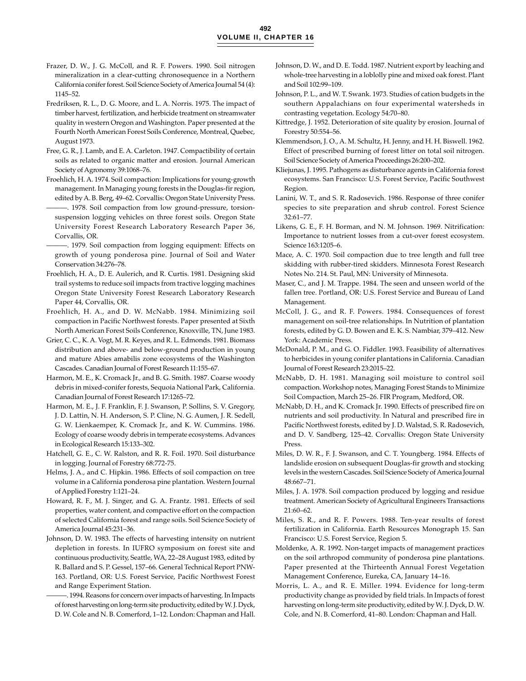- Frazer, D. W., J. G. McColl, and R. F. Powers. 1990. Soil nitrogen mineralization in a clear-cutting chronosequence in a Northern California conifer forest. Soil Science Society of America Journal 54 (4): 1145–52.
- Fredriksen, R. L., D. G. Moore, and L. A. Norris. 1975. The impact of timber harvest, fertilization, and herbicide treatment on streamwater quality in western Oregon and Washington. Paper presented at the Fourth North American Forest Soils Conference, Montreal, Quebec, August 1973.
- Free, G. R., J. Lamb, and E. A. Carleton. 1947. Compactibility of certain soils as related to organic matter and erosion. Journal American Society of Agronomy 39:1068–76.
- Froehlich, H. A. 1974. Soil compaction: Implications for young-growth management. In Managing young forests in the Douglas-fir region, edited by A. B. Berg, 49–62. Corvallis: Oregon State University Press.
- -. 1978. Soil compaction from low ground-pressure, torsionsuspension logging vehicles on three forest soils. Oregon State University Forest Research Laboratory Research Paper 36, Corvallis, OR.
- -. 1979. Soil compaction from logging equipment: Effects on growth of young ponderosa pine. Journal of Soil and Water Conservation 34:276–78.
- Froehlich, H. A., D. E. Aulerich, and R. Curtis. 1981. Designing skid trail systems to reduce soil impacts from tractive logging machines Oregon State University Forest Research Laboratory Research Paper 44, Corvallis, OR.
- Froehlich, H. A., and D. W. McNabb. 1984. Minimizing soil compaction in Pacific Northwest forests. Paper presented at Sixth North American Forest Soils Conference, Knoxville, TN, June 1983.
- Grier, C. C., K. A. Vogt, M. R. Keyes, and R. L. Edmonds. 1981. Biomass distribution and above- and below-ground production in young and mature Abies amabilis zone ecosystems of the Washington Cascades. Canadian Journal of Forest Research 11:155–67.
- Harmon, M. E., K. Cromack Jr., and B. G. Smith. 1987. Coarse woody debris in mixed-conifer forests, Sequoia National Park, California. Canadian Journal of Forest Research 17:1265–72.
- Harmon, M. E., J. F. Franklin, F. J. Swanson, P. Sollins, S. V. Gregory, J. D. Lattin, N. H. Anderson, S. P. Cline, N. G. Aumen, J. R. Sedell, G. W. Lienkaemper, K. Cromack Jr., and K. W. Cummins. 1986. Ecology of coarse woody debris in temperate ecosystems. Advances in Ecological Research 15:133–302.
- Hatchell, G. E., C. W. Ralston, and R. R. Foil. 1970. Soil disturbance in logging. Journal of Forestry 68:772-75.
- Helms, J. A., and C. Hipkin. 1986. Effects of soil compaction on tree volume in a California ponderosa pine plantation. Western Journal of Applied Forestry 1:121–24.
- Howard, R. F., M. J. Singer, and G. A. Frantz. 1981. Effects of soil properties, water content, and compactive effort on the compaction of selected California forest and range soils. Soil Science Society of America Journal 45:231–36.
- Johnson, D. W. 1983. The effects of harvesting intensity on nutrient depletion in forests. In IUFRO symposium on forest site and continuous productivity, Seattle, WA, 22–28 August 1983, edited by R. Ballard and S. P. Gessel, 157–66. General Technical Report PNW-163. Portland, OR: U.S. Forest Service, Pacific Northwest Forest and Range Experiment Station.

-. 1994. Reasons for concern over impacts of harvesting. In Impacts of forest harvesting on long-term site productivity, edited by W. J. Dyck, D. W. Cole and N. B. Comerford, 1–12. London: Chapman and Hall.

- Johnson, D. W., and D. E. Todd. 1987. Nutrient export by leaching and whole-tree harvesting in a loblolly pine and mixed oak forest. Plant and Soil 102:99–109.
- Johnson, P. L., and W. T. Swank. 1973. Studies of cation budgets in the southern Appalachians on four experimental watersheds in contrasting vegetation. Ecology 54:70–80.
- Kittredge, J. 1952. Deterioration of site quality by erosion. Journal of Forestry 50:554–56.
- Klemmendson, J. O., A. M. Schultz, H. Jenny, and H. H. Biswell. 1962. Effect of prescribed burning of forest litter on total soil nitrogen. Soil Science Society of America Proceedings 26:200–202.
- Kliejunas, J. 1995. Pathogens as disturbance agents in California forest ecosystems. San Francisco: U.S. Forest Service, Pacific Southwest Region.
- Lanini, W. T., and S. R. Radosevich. 1986. Response of three conifer species to site preparation and shrub control. Forest Science 32:61–77.
- Likens, G. E., F. H. Borman, and N. M. Johnson. 1969. Nitrification: Importance to nutrient losses from a cut-over forest ecosystem. Science 163:1205–6.
- Mace, A. C. 1970. Soil compaction due to tree length and full tree skidding with rubber-tired skidders. Minnesota Forest Research Notes No. 214. St. Paul, MN: University of Minnesota.
- Maser, C., and J. M. Trappe. 1984. The seen and unseen world of the fallen tree. Portland, OR: U.S. Forest Service and Bureau of Land Management.
- McColl, J. G., and R. F. Powers. 1984. Consequences of forest management on soil-tree relationships. In Nutrition of plantation forests, edited by G. D. Bowen and E. K. S. Nambiar, 379–412. New York: Academic Press.
- McDonald, P. M., and G. O. Fiddler. 1993. Feasibility of alternatives to herbicides in young conifer plantations in California. Canadian Journal of Forest Research 23:2015–22.
- McNabb, D. H. 1981. Managing soil moisture to control soil compaction. Workshop notes, Managing Forest Stands to Minimize Soil Compaction, March 25–26. FIR Program, Medford, OR.
- McNabb, D. H., and K. Cromack Jr. 1990. Effects of prescribed fire on nutrients and soil productivity. In Natural and prescribed fire in Pacific Northwest forests, edited by J. D. Walstad, S. R. Radosevich, and D. V. Sandberg, 125–42. Corvallis: Oregon State University Press.
- Miles, D. W. R., F. J. Swanson, and C. T. Youngberg. 1984. Effects of landslide erosion on subsequent Douglas-fir growth and stocking levels in the western Cascades. Soil Science Society of America Journal 48:667–71.
- Miles, J. A. 1978. Soil compaction produced by logging and residue treatment. American Society of Agricultural Engineers Transactions 21:60–62.
- Miles, S. R., and R. F. Powers. 1988. Ten-year results of forest fertilization in California. Earth Resources Monograph 15. San Francisco: U.S. Forest Service, Region 5.
- Moldenke, A. R. 1992. Non-target impacts of management practices on the soil arthropod community of ponderosa pine plantations. Paper presented at the Thirteenth Annual Forest Vegetation Management Conference, Eureka, CA, January 14–16.
- Morris, L. A., and R. E. Miller. 1994. Evidence for long-term productivity change as provided by field trials. In Impacts of forest harvesting on long-term site productivity, edited by W. J. Dyck, D. W. Cole, and N. B. Comerford, 41–80. London: Chapman and Hall.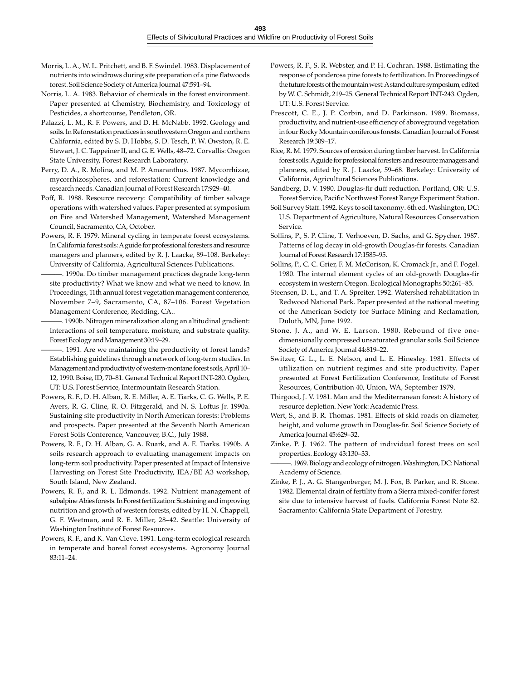- Morris, L. A., W. L. Pritchett, and B. F. Swindel. 1983. Displacement of nutrients into windrows during site preparation of a pine flatwoods forest. Soil Science Society of America Journal 47:591–94.
- Norris, L. A. 1983. Behavior of chemicals in the forest environment. Paper presented at Chemistry, Biochemistry, and Toxicology of Pesticides, a shortcourse, Pendleton, OR.
- Palazzi, L. M., R. F. Powers, and D. H. McNabb. 1992. Geology and soils. In Reforestation practices in southwestern Oregon and northern California, edited by S. D. Hobbs, S. D. Tesch, P. W. Owston, R. E. Stewart, J. C. Tappeiner II, and G. E. Wells, 48–72. Corvallis: Oregon State University, Forest Research Laboratory.
- Perry, D. A., R. Molina, and M. P. Amaranthus. 1987. Mycorrhizae, mycorrhizospheres, and reforestation: Current knowledge and research needs. Canadian Journal of Forest Research 17:929–40.
- Poff, R. 1988. Resource recovery: Compatibility of timber salvage operations with watershed values. Paper presented at symposium on Fire and Watershed Management, Watershed Management Council, Sacramento, CA, October.
- Powers, R. F. 1979. Mineral cycling in temperate forest ecosystems. In California forest soils: A guide for professional foresters and resource managers and planners, edited by R. J. Laacke, 89–108. Berkeley: University of California, Agricultural Sciences Publications.
- -. 1990a. Do timber management practices degrade long-term site productivity? What we know and what we need to know. In Proceedings, 11th annual forest vegetation management conference, November 7–9, Sacramento, CA, 87–106. Forest Vegetation Management Conference, Redding, CA..
- ———. 1990b. Nitrogen mineralization along an altitudinal gradient: Interactions of soil temperature, moisture, and substrate quality. Forest Ecology and Management 30:19–29.
- . 1991. Are we maintaining the productivity of forest lands? Establishing guidelines through a network of long-term studies. In Management and productivity of western-montane forest soils, April 10– 12, 1990. Boise, ID, 70–81. General Technical Report INT-280. Ogden, UT: U.S. Forest Service, Intermountain Research Station.
- Powers, R. F., D. H. Alban, R. E. Miller, A. E. Tiarks, C. G. Wells, P. E. Avers, R. G. Cline, R. O. Fitzgerald, and N. S. Loftus Jr. 1990a. Sustaining site productivity in North American forests: Problems and prospects. Paper presented at the Seventh North American Forest Soils Conference, Vancouver, B.C., July 1988.
- Powers, R. F., D. H. Alban, G. A. Ruark, and A. E. Tiarks. 1990b. A soils research approach to evaluating management impacts on long-term soil productivity. Paper presented at Impact of Intensive Harvesting on Forest Site Productivity, IEA/BE A3 workshop, South Island, New Zealand.
- Powers, R. F., and R. L. Edmonds. 1992. Nutrient management of subalpine Abies forests. In Forest fertilization: Sustaining and improving nutrition and growth of western forests, edited by H. N. Chappell, G. F. Weetman, and R. E. Miller, 28–42. Seattle: University of Washington Institute of Forest Resources.
- Powers, R. F., and K. Van Cleve. 1991. Long-term ecological research in temperate and boreal forest ecosystems. Agronomy Journal 83:11–24.
- Powers, R. F., S. R. Webster, and P. H. Cochran. 1988. Estimating the response of ponderosa pine forests to fertilization. In Proceedings of the future forests of the mountain west: A stand culture symposium, edited by W. C. Schmidt, 219–25. General Technical Report INT-243. Ogden, UT: U.S. Forest Service.
- Prescott, C. E., J. P. Corbin, and D. Parkinson. 1989. Biomass, productivity, and nutrient-use efficiency of aboveground vegetation in four Rocky Mountain coniferous forests. Canadian Journal of Forest Research 19:309–17.
- Rice, R. M. 1979. Sources of erosion during timber harvest. In California forest soils: A guide for professional foresters and resource managers and planners, edited by R. J. Laacke, 59–68. Berkeley: University of California, Agricultural Sciences Publications.
- Sandberg, D. V. 1980. Douglas-fir duff reduction. Portland, OR: U.S. Forest Service, Pacific Northwest Forest Range Experiment Station.
- Soil Survey Staff. 1992. Keys to soil taxonomy. 6th ed. Washington, DC: U.S. Department of Agriculture, Natural Resources Conservation Service.
- Sollins, P., S. P. Cline, T. Verhoeven, D. Sachs, and G. Spycher. 1987. Patterns of log decay in old-growth Douglas-fir forests. Canadian Journal of Forest Research 17:1585–95.
- Sollins, P., C. C. Grier, F. M. McCorison, K. Cromack Jr., and F. Fogel. 1980. The internal element cycles of an old-growth Douglas-fir ecosystem in western Oregon. Ecological Monographs 50:261–85.
- Steensen, D. L., and T. A. Spreiter. 1992. Watershed rehabilitation in Redwood National Park. Paper presented at the national meeting of the American Society for Surface Mining and Reclamation, Duluth, MN, June 1992.
- Stone, J. A., and W. E. Larson. 1980. Rebound of five onedimensionally compressed unsaturated granular soils. Soil Science Society of America Journal 44:819–22.
- Switzer, G. L., L. E. Nelson, and L. E. Hinesley. 1981. Effects of utilization on nutrient regimes and site productivity. Paper presented at Forest Fertilization Conference, Institute of Forest Resources, Contribution 40, Union, WA, September 1979.
- Thirgood, J. V. 1981. Man and the Mediterranean forest: A history of resource depletion. New York: Academic Press.
- Wert, S., and B. R. Thomas. 1981. Effects of skid roads on diameter, height, and volume growth in Douglas-fir. Soil Science Society of America Journal 45:629–32.
- Zinke, P. J. 1962. The pattern of individual forest trees on soil properties. Ecology 43:130–33.
- ———. 1969. Biology and ecology of nitrogen. Washington, DC: National Academy of Science.
- Zinke, P. J., A. G. Stangenberger, M. J. Fox, B. Parker, and R. Stone. 1982. Elemental drain of fertility from a Sierra mixed-conifer forest site due to intensive harvest of fuels. California Forest Note 82. Sacramento: California State Department of Forestry.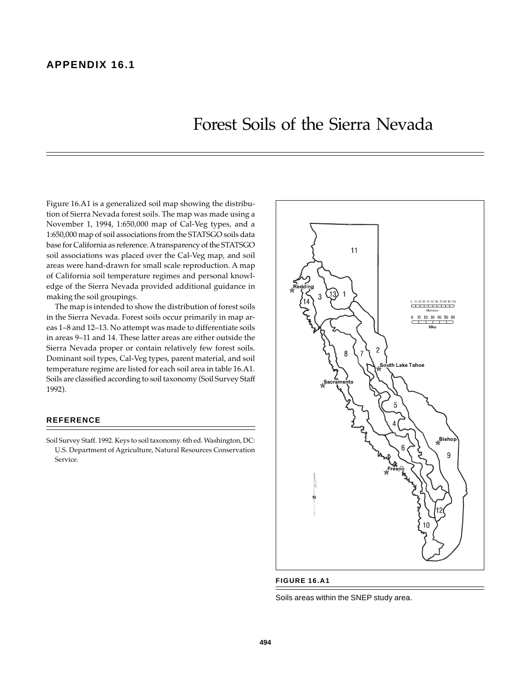## Forest Soils of the Sierra Nevada

Figure 16.A1 is a generalized soil map showing the distribution of Sierra Nevada forest soils. The map was made using a November 1, 1994, 1:650,000 map of Cal-Veg types, and a 1:650,000 map of soil associations from the STATSGO soils data base for California as reference. A transparency of the STATSGO soil associations was placed over the Cal-Veg map, and soil areas were hand-drawn for small scale reproduction. A map of California soil temperature regimes and personal knowledge of the Sierra Nevada provided additional guidance in making the soil groupings.

The map is intended to show the distribution of forest soils in the Sierra Nevada. Forest soils occur primarily in map areas 1–8 and 12–13. No attempt was made to differentiate soils in areas 9–11 and 14. These latter areas are either outside the Sierra Nevada proper or contain relatively few forest soils. Dominant soil types, Cal-Veg types, parent material, and soil temperature regime are listed for each soil area in table 16.A1. Soils are classified according to soil taxonomy (Soil Survey Staff 1992).

#### **REFERENCE**

Soil Survey Staff. 1992. Keys to soil taxonomy. 6th ed. Washington, DC: U.S. Department of Agriculture, Natural Resources Conservation Service.



**FIGURE 16.A1**

Soils areas within the SNEP study area.